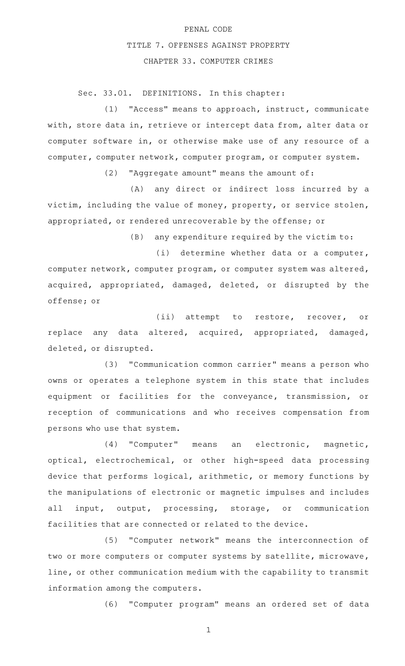## PENAL CODE TITLE 7. OFFENSES AGAINST PROPERTY CHAPTER 33. COMPUTER CRIMES

Sec. 33.01. DEFINITIONS. In this chapter:

(1) "Access" means to approach, instruct, communicate with, store data in, retrieve or intercept data from, alter data or computer software in, or otherwise make use of any resource of a computer, computer network, computer program, or computer system.

(2) "Aggregate amount" means the amount of:

(A) any direct or indirect loss incurred by a victim, including the value of money, property, or service stolen, appropriated, or rendered unrecoverable by the offense; or

 $(B)$  any expenditure required by the victim to:

(i) determine whether data or a computer, computer network, computer program, or computer system was altered, acquired, appropriated, damaged, deleted, or disrupted by the offense; or

(ii) attempt to restore, recover, or replace any data altered, acquired, appropriated, damaged, deleted, or disrupted.

(3) "Communication common carrier" means a person who owns or operates a telephone system in this state that includes equipment or facilities for the conveyance, transmission, or reception of communications and who receives compensation from persons who use that system.

(4) "Computer" means an electronic, magnetic, optical, electrochemical, or other high-speed data processing device that performs logical, arithmetic, or memory functions by the manipulations of electronic or magnetic impulses and includes all input, output, processing, storage, or communication facilities that are connected or related to the device.

(5) "Computer network" means the interconnection of two or more computers or computer systems by satellite, microwave, line, or other communication medium with the capability to transmit information among the computers.

(6) "Computer program" means an ordered set of data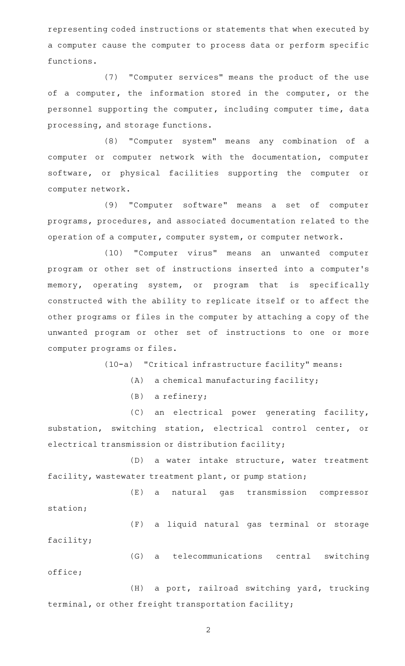representing coded instructions or statements that when executed by a computer cause the computer to process data or perform specific functions.

(7) "Computer services" means the product of the use of a computer, the information stored in the computer, or the personnel supporting the computer, including computer time, data processing, and storage functions.

(8) "Computer system" means any combination of a computer or computer network with the documentation, computer software, or physical facilities supporting the computer or computer network.

(9) "Computer software" means a set of computer programs, procedures, and associated documentation related to the operation of a computer, computer system, or computer network.

(10) "Computer virus" means an unwanted computer program or other set of instructions inserted into a computer 's memory, operating system, or program that is specifically constructed with the ability to replicate itself or to affect the other programs or files in the computer by attaching a copy of the unwanted program or other set of instructions to one or more computer programs or files.

 $(10-a)$  "Critical infrastructure facility" means:

 $(A)$  a chemical manufacturing facility;

 $(B)$  a refinery;

(C) an electrical power generating facility, substation, switching station, electrical control center, or electrical transmission or distribution facility;

(D) a water intake structure, water treatment facility, wastewater treatment plant, or pump station;

(E) a natural gas transmission compressor station;

(F) a liquid natural gas terminal or storage facility;

(G) a telecommunications central switching office;

(H) a port, railroad switching yard, trucking terminal, or other freight transportation facility;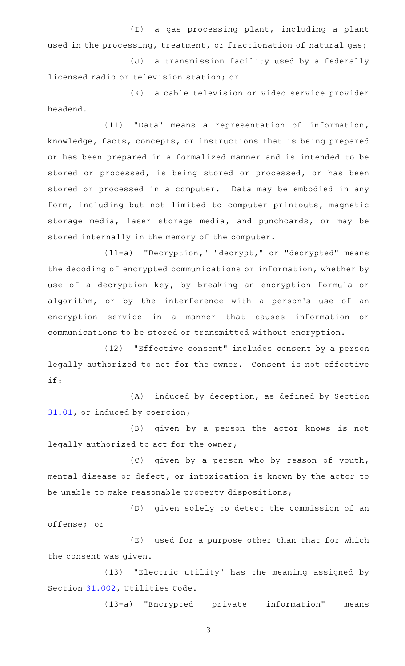(I) a gas processing plant, including a plant used in the processing, treatment, or fractionation of natural gas;

(J) a transmission facility used by a federally licensed radio or television station; or

(K) a cable television or video service provider headend.

(11) "Data" means a representation of information, knowledge, facts, concepts, or instructions that is being prepared or has been prepared in a formalized manner and is intended to be stored or processed, is being stored or processed, or has been stored or processed in a computer. Data may be embodied in any form, including but not limited to computer printouts, magnetic storage media, laser storage media, and punchcards, or may be stored internally in the memory of the computer.

(11-a) "Decryption," "decrypt," or "decrypted" means the decoding of encrypted communications or information, whether by use of a decryption key, by breaking an encryption formula or algorithm, or by the interference with a person's use of an encryption service in a manner that causes information or communications to be stored or transmitted without encryption.

(12) "Effective consent" includes consent by a person legally authorized to act for the owner. Consent is not effective if:

 $(A)$  induced by deception, as defined by Section [31.01,](http://www.statutes.legis.state.tx.us/GetStatute.aspx?Code=PE&Value=31.01) or induced by coercion;

(B) given by a person the actor knows is not legally authorized to act for the owner;

(C) given by a person who by reason of youth, mental disease or defect, or intoxication is known by the actor to be unable to make reasonable property dispositions;

(D) given solely to detect the commission of an offense; or

(E) used for a purpose other than that for which the consent was given.

 $(13)$  "Electric utility" has the meaning assigned by Section [31.002](http://www.statutes.legis.state.tx.us/GetStatute.aspx?Code=UT&Value=31.002), Utilities Code.

(13-a) "Encrypted private information" means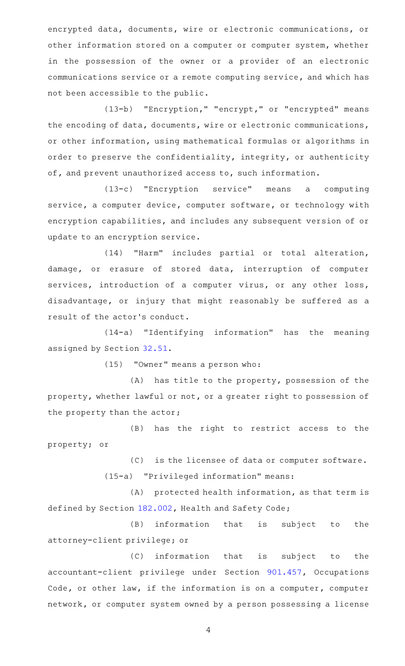encrypted data, documents, wire or electronic communications, or other information stored on a computer or computer system, whether in the possession of the owner or a provider of an electronic communications service or a remote computing service, and which has not been accessible to the public.

(13-b) "Encryption," "encrypt," or "encrypted" means the encoding of data, documents, wire or electronic communications, or other information, using mathematical formulas or algorithms in order to preserve the confidentiality, integrity, or authenticity of, and prevent unauthorized access to, such information.

(13-c) "Encryption service" means a computing service, a computer device, computer software, or technology with encryption capabilities, and includes any subsequent version of or update to an encryption service.

(14) "Harm" includes partial or total alteration, damage, or erasure of stored data, interruption of computer services, introduction of a computer virus, or any other loss, disadvantage, or injury that might reasonably be suffered as a result of the actor 's conduct.

(14-a) "Identifying information" has the meaning assigned by Section [32.51](http://www.statutes.legis.state.tx.us/GetStatute.aspx?Code=PE&Value=32.51).

(15) "Owner" means a person who:

 $(A)$  has title to the property, possession of the property, whether lawful or not, or a greater right to possession of the property than the actor;

(B) has the right to restrict access to the property; or

(C) is the licensee of data or computer software.

(15-a) "Privileged information" means:

(A) protected health information, as that term is defined by Section [182.002,](http://www.statutes.legis.state.tx.us/GetStatute.aspx?Code=HS&Value=182.002) Health and Safety Code;

(B) information that is subject to the attorney-client privilege; or

(C) information that is subject to the accountant-client privilege under Section [901.457](http://www.statutes.legis.state.tx.us/GetStatute.aspx?Code=OC&Value=901.457), Occupations Code, or other law, if the information is on a computer, computer network, or computer system owned by a person possessing a license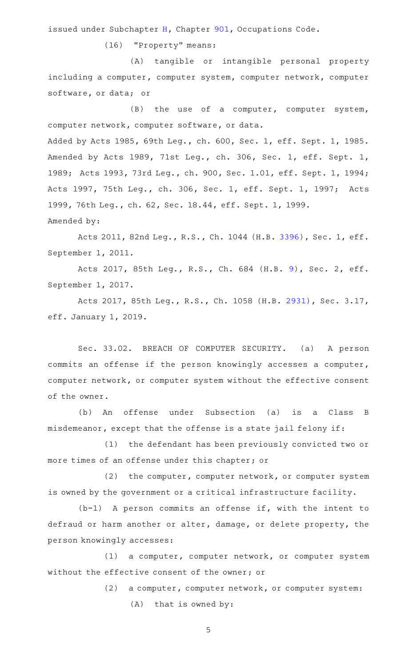issued under Subchapter [H](http://www.statutes.legis.state.tx.us/GetStatute.aspx?Code=OC&Value=901.351), Chapter [901](http://www.statutes.legis.state.tx.us/GetStatute.aspx?Code=OC&Value=901), Occupations Code.

(16) "Property" means:

(A) tangible or intangible personal property including a computer, computer system, computer network, computer software, or data; or

(B) the use of a computer, computer system, computer network, computer software, or data.

Added by Acts 1985, 69th Leg., ch. 600, Sec. 1, eff. Sept. 1, 1985. Amended by Acts 1989, 71st Leg., ch. 306, Sec. 1, eff. Sept. 1, 1989; Acts 1993, 73rd Leg., ch. 900, Sec. 1.01, eff. Sept. 1, 1994; Acts 1997, 75th Leg., ch. 306, Sec. 1, eff. Sept. 1, 1997; Acts 1999, 76th Leg., ch. 62, Sec. 18.44, eff. Sept. 1, 1999. Amended by:

Acts 2011, 82nd Leg., R.S., Ch. 1044 (H.B. [3396](http://www.legis.state.tx.us/tlodocs/82R/billtext/html/HB03396F.HTM)), Sec. 1, eff. September 1, 2011.

Acts 2017, 85th Leg., R.S., Ch. 684 (H.B. [9](http://www.legis.state.tx.us/tlodocs/85R/billtext/html/HB00009F.HTM)), Sec. 2, eff. September 1, 2017.

Acts 2017, 85th Leg., R.S., Ch. 1058 (H.B. [2931](http://www.legis.state.tx.us/tlodocs/85R/billtext/html/HB02931F.HTM)), Sec. 3.17, eff. January 1, 2019.

Sec. 33.02. BREACH OF COMPUTER SECURITY. (a) A person commits an offense if the person knowingly accesses a computer, computer network, or computer system without the effective consent of the owner.

(b) An offense under Subsection (a) is a Class B misdemeanor, except that the offense is a state jail felony if:

(1) the defendant has been previously convicted two or more times of an offense under this chapter; or

(2) the computer, computer network, or computer system is owned by the government or a critical infrastructure facility.

 $(b-1)$  A person commits an offense if, with the intent to defraud or harm another or alter, damage, or delete property, the person knowingly accesses:

(1) a computer, computer network, or computer system without the effective consent of the owner; or

(2) a computer, computer network, or computer system:

 $(A)$  that is owned by: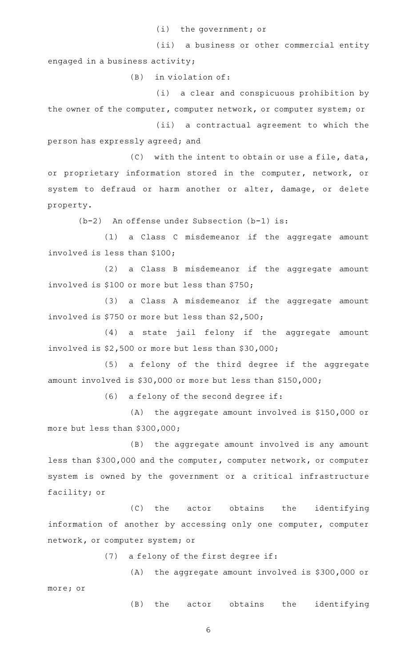(i) the government; or

(ii) a business or other commercial entity engaged in a business activity;

 $(B)$  in violation of:

(i) a clear and conspicuous prohibition by the owner of the computer, computer network, or computer system; or

(ii) a contractual agreement to which the person has expressly agreed; and

 $(C)$  with the intent to obtain or use a file, data, or proprietary information stored in the computer, network, or system to defraud or harm another or alter, damage, or delete property.

 $(b-2)$  An offense under Subsection  $(b-1)$  is:

(1) a Class C misdemeanor if the aggregate amount involved is less than \$100;

(2) a Class B misdemeanor if the aggregate amount involved is \$100 or more but less than \$750;

(3) a Class A misdemeanor if the aggregate amount involved is \$750 or more but less than \$2,500;

 $(4)$  a state jail felony if the aggregate amount involved is \$2,500 or more but less than \$30,000;

(5) a felony of the third degree if the aggregate amount involved is \$30,000 or more but less than \$150,000;

 $(6)$  a felony of the second degree if:

 $(A)$  the aggregate amount involved is \$150,000 or more but less than \$300,000;

 $(B)$  the aggregate amount involved is any amount less than \$300,000 and the computer, computer network, or computer system is owned by the government or a critical infrastructure facility; or

(C) the actor obtains the identifying information of another by accessing only one computer, computer network, or computer system; or

(7) a felony of the first degree if:

(A) the aggregate amount involved is \$300,000 or more; or

(B) the actor obtains the identifying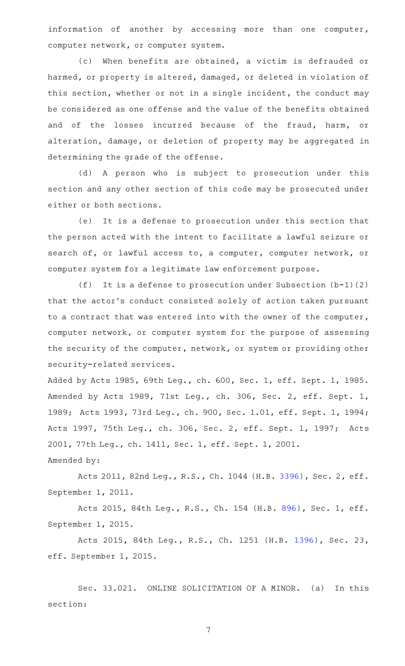information of another by accessing more than one computer, computer network, or computer system.

(c) When benefits are obtained, a victim is defrauded or harmed, or property is altered, damaged, or deleted in violation of this section, whether or not in a single incident, the conduct may be considered as one offense and the value of the benefits obtained and of the losses incurred because of the fraud, harm, or alteration, damage, or deletion of property may be aggregated in determining the grade of the offense.

(d) A person who is subject to prosecution under this section and any other section of this code may be prosecuted under either or both sections.

(e) It is a defense to prosecution under this section that the person acted with the intent to facilitate a lawful seizure or search of, or lawful access to, a computer, computer network, or computer system for a legitimate law enforcement purpose.

(f) It is a defense to prosecution under Subsection  $(b-1)(2)$ that the actor 's conduct consisted solely of action taken pursuant to a contract that was entered into with the owner of the computer, computer network, or computer system for the purpose of assessing the security of the computer, network, or system or providing other security-related services.

Added by Acts 1985, 69th Leg., ch. 600, Sec. 1, eff. Sept. 1, 1985. Amended by Acts 1989, 71st Leg., ch. 306, Sec. 2, eff. Sept. 1, 1989; Acts 1993, 73rd Leg., ch. 900, Sec. 1.01, eff. Sept. 1, 1994; Acts 1997, 75th Leg., ch. 306, Sec. 2, eff. Sept. 1, 1997; Acts 2001, 77th Leg., ch. 1411, Sec. 1, eff. Sept. 1, 2001.

Amended by:

Acts 2011, 82nd Leg., R.S., Ch. 1044 (H.B. [3396](http://www.legis.state.tx.us/tlodocs/82R/billtext/html/HB03396F.HTM)), Sec. 2, eff. September 1, 2011.

Acts 2015, 84th Leg., R.S., Ch. 154 (H.B. [896](http://www.legis.state.tx.us/tlodocs/84R/billtext/html/HB00896F.HTM)), Sec. 1, eff. September 1, 2015.

Acts 2015, 84th Leg., R.S., Ch. 1251 (H.B. [1396](http://www.legis.state.tx.us/tlodocs/84R/billtext/html/HB01396F.HTM)), Sec. 23, eff. September 1, 2015.

Sec. 33.021. ONLINE SOLICITATION OF A MINOR. (a) In this section: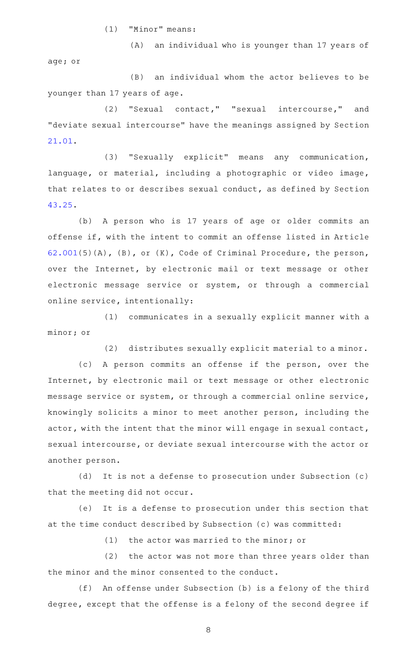$(1)$  "Minor" means:

age; or

(B) an individual whom the actor believes to be younger than 17 years of age.

(A) an individual who is younger than 17 years of

(2) "Sexual contact," "sexual intercourse," and "deviate sexual intercourse" have the meanings assigned by Section [21.01.](http://www.statutes.legis.state.tx.us/GetStatute.aspx?Code=PE&Value=21.01)

(3) "Sexually explicit" means any communication, language, or material, including a photographic or video image, that relates to or describes sexual conduct, as defined by Section [43.25.](http://www.statutes.legis.state.tx.us/GetStatute.aspx?Code=PE&Value=43.25)

(b) A person who is 17 years of age or older commits an offense if, with the intent to commit an offense listed in Article [62.001](http://www.statutes.legis.state.tx.us/GetStatute.aspx?Code=CR&Value=62.001)(5)(A), (B), or (K), Code of Criminal Procedure, the person, over the Internet, by electronic mail or text message or other electronic message service or system, or through a commercial online service, intentionally:

(1) communicates in a sexually explicit manner with a minor; or

(2) distributes sexually explicit material to a minor.

(c) A person commits an offense if the person, over the Internet, by electronic mail or text message or other electronic message service or system, or through a commercial online service, knowingly solicits a minor to meet another person, including the actor, with the intent that the minor will engage in sexual contact, sexual intercourse, or deviate sexual intercourse with the actor or another person.

(d) It is not a defense to prosecution under Subsection (c) that the meeting did not occur.

(e) It is a defense to prosecution under this section that at the time conduct described by Subsection (c) was committed:

 $(1)$  the actor was married to the minor; or

(2) the actor was not more than three years older than the minor and the minor consented to the conduct.

(f) An offense under Subsection (b) is a felony of the third degree, except that the offense is a felony of the second degree if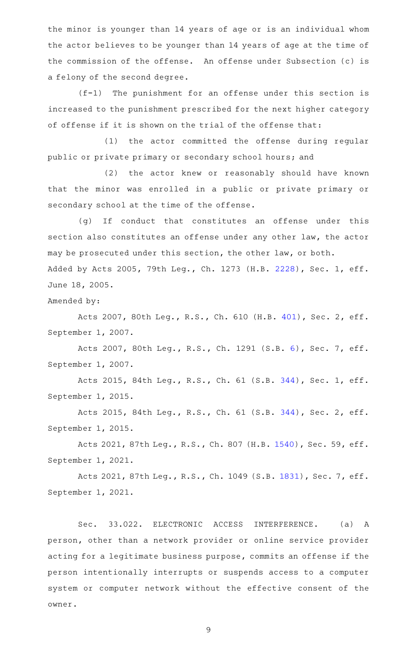the minor is younger than 14 years of age or is an individual whom the actor believes to be younger than 14 years of age at the time of the commission of the offense. An offense under Subsection (c) is a felony of the second degree.

 $(f-1)$  The punishment for an offense under this section is increased to the punishment prescribed for the next higher category of offense if it is shown on the trial of the offense that:

(1) the actor committed the offense during regular public or private primary or secondary school hours; and

(2) the actor knew or reasonably should have known that the minor was enrolled in a public or private primary or secondary school at the time of the offense.

(g) If conduct that constitutes an offense under this section also constitutes an offense under any other law, the actor may be prosecuted under this section, the other law, or both. Added by Acts 2005, 79th Leg., Ch. 1273 (H.B. [2228\)](http://www.legis.state.tx.us/tlodocs/79R/billtext/html/HB02228F.HTM), Sec. 1, eff. June 18, 2005.

Amended by:

Acts 2007, 80th Leg., R.S., Ch. 610 (H.B. [401](http://www.legis.state.tx.us/tlodocs/80R/billtext/html/HB00401F.HTM)), Sec. 2, eff. September 1, 2007.

Acts 2007, 80th Leg., R.S., Ch. 1291 (S.B. [6](http://www.legis.state.tx.us/tlodocs/80R/billtext/html/SB00006F.HTM)), Sec. 7, eff. September 1, 2007.

Acts 2015, 84th Leg., R.S., Ch. 61 (S.B. [344](http://www.legis.state.tx.us/tlodocs/84R/billtext/html/SB00344F.HTM)), Sec. 1, eff. September 1, 2015.

Acts 2015, 84th Leg., R.S., Ch. 61 (S.B. [344](http://www.legis.state.tx.us/tlodocs/84R/billtext/html/SB00344F.HTM)), Sec. 2, eff. September 1, 2015.

Acts 2021, 87th Leg., R.S., Ch. 807 (H.B. [1540\)](http://www.legis.state.tx.us/tlodocs/87R/billtext/html/HB01540F.HTM), Sec. 59, eff. September 1, 2021.

Acts 2021, 87th Leg., R.S., Ch. 1049 (S.B. [1831](http://www.legis.state.tx.us/tlodocs/87R/billtext/html/SB01831F.HTM)), Sec. 7, eff. September 1, 2021.

Sec. 33.022. ELECTRONIC ACCESS INTERFERENCE. (a) A person, other than a network provider or online service provider acting for a legitimate business purpose, commits an offense if the person intentionally interrupts or suspends access to a computer system or computer network without the effective consent of the owner.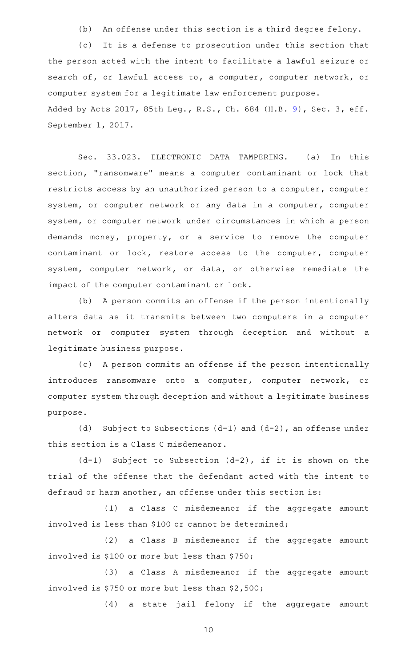(b) An offense under this section is a third degree felony.

(c) It is a defense to prosecution under this section that the person acted with the intent to facilitate a lawful seizure or search of, or lawful access to, a computer, computer network, or computer system for a legitimate law enforcement purpose. Added by Acts 2017, 85th Leg., R.S., Ch. 684 (H.B. [9](http://www.legis.state.tx.us/tlodocs/85R/billtext/html/HB00009F.HTM)), Sec. 3, eff. September 1, 2017.

Sec. 33.023. ELECTRONIC DATA TAMPERING. (a) In this section, "ransomware" means a computer contaminant or lock that restricts access by an unauthorized person to a computer, computer system, or computer network or any data in a computer, computer system, or computer network under circumstances in which a person demands money, property, or a service to remove the computer contaminant or lock, restore access to the computer, computer system, computer network, or data, or otherwise remediate the impact of the computer contaminant or lock.

(b) A person commits an offense if the person intentionally alters data as it transmits between two computers in a computer network or computer system through deception and without a legitimate business purpose.

(c) A person commits an offense if the person intentionally introduces ransomware onto a computer, computer network, or computer system through deception and without a legitimate business purpose.

(d) Subject to Subsections  $(d-1)$  and  $(d-2)$ , an offense under this section is a Class C misdemeanor.

 $(d-1)$  Subject to Subsection  $(d-2)$ , if it is shown on the trial of the offense that the defendant acted with the intent to defraud or harm another, an offense under this section is:

 $(1)$  a Class C misdemeanor if the aggregate amount involved is less than \$100 or cannot be determined;

(2) a Class B misdemeanor if the aggregate amount involved is \$100 or more but less than \$750;

(3) a Class A misdemeanor if the aggregate amount involved is \$750 or more but less than \$2,500;

(4) a state jail felony if the aggregate amount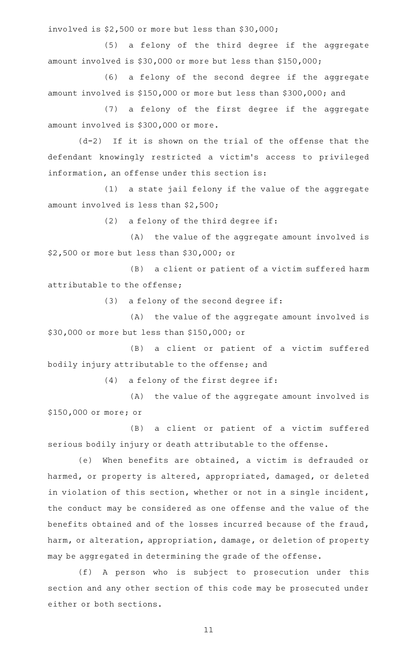involved is \$2,500 or more but less than \$30,000;

(5) a felony of the third degree if the aggregate amount involved is \$30,000 or more but less than \$150,000;

(6) a felony of the second degree if the aggregate amount involved is \$150,000 or more but less than \$300,000; and

(7) a felony of the first degree if the aggregate amount involved is \$300,000 or more.

 $(d-2)$  If it is shown on the trial of the offense that the defendant knowingly restricted a victim 's access to privileged information, an offense under this section is:

(1) a state jail felony if the value of the aggregate amount involved is less than \$2,500;

 $(2)$  a felony of the third degree if:

(A) the value of the aggregate amount involved is \$2,500 or more but less than \$30,000; or

(B) a client or patient of a victim suffered harm attributable to the offense;

 $(3)$  a felony of the second degree if:

(A) the value of the aggregate amount involved is \$30,000 or more but less than \$150,000; or

(B) a client or patient of a victim suffered bodily injury attributable to the offense; and

 $(4)$  a felony of the first degree if:

(A) the value of the aggregate amount involved is \$150,000 or more; or

(B) a client or patient of a victim suffered serious bodily injury or death attributable to the offense.

(e) When benefits are obtained, a victim is defrauded or harmed, or property is altered, appropriated, damaged, or deleted in violation of this section, whether or not in a single incident, the conduct may be considered as one offense and the value of the benefits obtained and of the losses incurred because of the fraud, harm, or alteration, appropriation, damage, or deletion of property may be aggregated in determining the grade of the offense.

(f)AAA person who is subject to prosecution under this section and any other section of this code may be prosecuted under either or both sections.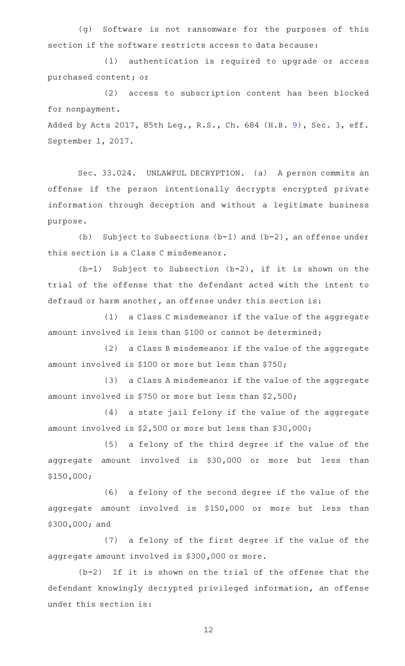(g) Software is not ransomware for the purposes of this section if the software restricts access to data because:

(1) authentication is required to upgrade or access purchased content; or

(2) access to subscription content has been blocked for nonpayment.

Added by Acts 2017, 85th Leg., R.S., Ch. 684 (H.B. [9](http://www.legis.state.tx.us/tlodocs/85R/billtext/html/HB00009F.HTM)), Sec. 3, eff. September 1, 2017.

Sec. 33.024. UNLAWFUL DECRYPTION. (a) A person commits an offense if the person intentionally decrypts encrypted private information through deception and without a legitimate business purpose.

(b) Subject to Subsections (b-1) and (b-2), an offense under this section is a Class C misdemeanor.

 $(b-1)$  Subject to Subsection  $(b-2)$ , if it is shown on the trial of the offense that the defendant acted with the intent to defraud or harm another, an offense under this section is:

(1) a Class C misdemeanor if the value of the aggregate amount involved is less than \$100 or cannot be determined;

(2) a Class B misdemeanor if the value of the aggregate amount involved is \$100 or more but less than \$750;

(3) a Class A misdemeanor if the value of the aggregate amount involved is \$750 or more but less than \$2,500;

(4) a state jail felony if the value of the aggregate amount involved is \$2,500 or more but less than \$30,000;

(5) a felony of the third degree if the value of the aggregate amount involved is \$30,000 or more but less than \$150,000;

(6) a felony of the second degree if the value of the aggregate amount involved is \$150,000 or more but less than \$300,000; and

(7) a felony of the first degree if the value of the aggregate amount involved is \$300,000 or more.

 $(b-2)$  If it is shown on the trial of the offense that the defendant knowingly decrypted privileged information, an offense under this section is: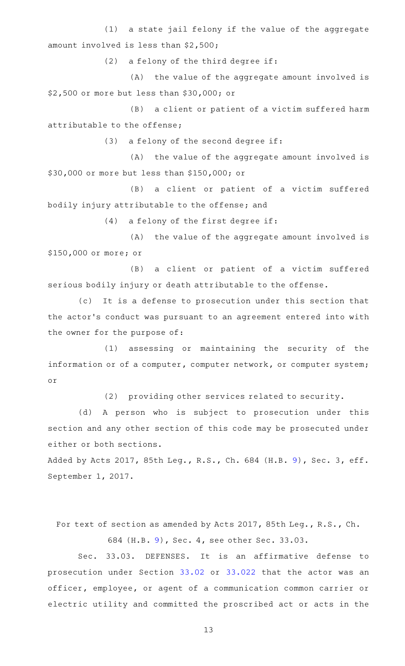(1) a state jail felony if the value of the aggregate amount involved is less than \$2,500;

 $(2)$  a felony of the third degree if:

(A) the value of the aggregate amount involved is \$2,500 or more but less than \$30,000; or

(B) a client or patient of a victim suffered harm attributable to the offense;

 $(3)$  a felony of the second degree if:

 $(A)$  the value of the aggregate amount involved is \$30,000 or more but less than \$150,000; or

(B) a client or patient of a victim suffered bodily injury attributable to the offense; and

 $(4)$  a felony of the first degree if:

(A) the value of the aggregate amount involved is \$150,000 or more; or

(B) a client or patient of a victim suffered serious bodily injury or death attributable to the offense.

(c) It is a defense to prosecution under this section that the actor 's conduct was pursuant to an agreement entered into with the owner for the purpose of:

(1) assessing or maintaining the security of the information or of a computer, computer network, or computer system; or

(2) providing other services related to security.

(d) A person who is subject to prosecution under this section and any other section of this code may be prosecuted under either or both sections.

Added by Acts 2017, 85th Leg., R.S., Ch. 684 (H.B. [9](http://www.legis.state.tx.us/tlodocs/85R/billtext/html/HB00009F.HTM)), Sec. 3, eff. September 1, 2017.

For text of section as amended by Acts 2017, 85th Leg., R.S., Ch.

684 (H.B. [9\)](http://www.legis.state.tx.us/tlodocs/85R/billtext/html/HB00009F.HTM), Sec. 4, see other Sec. 33.03.

Sec. 33.03. DEFENSES. It is an affirmative defense to prosecution under Section [33.02](http://www.statutes.legis.state.tx.us/GetStatute.aspx?Code=PE&Value=33.02) or [33.022](http://www.statutes.legis.state.tx.us/GetStatute.aspx?Code=PE&Value=33.022) that the actor was an officer, employee, or agent of a communication common carrier or electric utility and committed the proscribed act or acts in the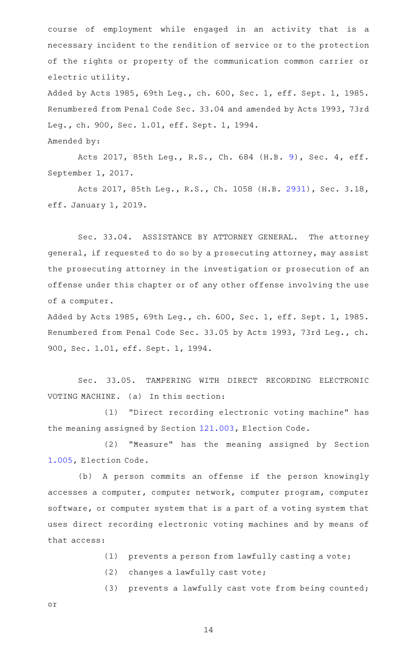course of employment while engaged in an activity that is a necessary incident to the rendition of service or to the protection of the rights or property of the communication common carrier or electric utility.

Added by Acts 1985, 69th Leg., ch. 600, Sec. 1, eff. Sept. 1, 1985. Renumbered from Penal Code Sec. 33.04 and amended by Acts 1993, 73rd Leg., ch. 900, Sec. 1.01, eff. Sept. 1, 1994. Amended by:

Acts 2017, 85th Leg., R.S., Ch. 684 (H.B. [9](http://www.legis.state.tx.us/tlodocs/85R/billtext/html/HB00009F.HTM)), Sec. 4, eff. September 1, 2017.

Acts 2017, 85th Leg., R.S., Ch. 1058 (H.B. [2931](http://www.legis.state.tx.us/tlodocs/85R/billtext/html/HB02931F.HTM)), Sec. 3.18, eff. January 1, 2019.

Sec. 33.04. ASSISTANCE BY ATTORNEY GENERAL. The attorney general, if requested to do so by a prosecuting attorney, may assist the prosecuting attorney in the investigation or prosecution of an offense under this chapter or of any other offense involving the use of a computer.

Added by Acts 1985, 69th Leg., ch. 600, Sec. 1, eff. Sept. 1, 1985. Renumbered from Penal Code Sec. 33.05 by Acts 1993, 73rd Leg., ch. 900, Sec. 1.01, eff. Sept. 1, 1994.

Sec. 33.05. TAMPERING WITH DIRECT RECORDING ELECTRONIC VOTING MACHINE. (a) In this section:

(1) "Direct recording electronic voting machine" has the meaning assigned by Section [121.003,](http://www.statutes.legis.state.tx.us/GetStatute.aspx?Code=EL&Value=121.003) Election Code.

(2) "Measure" has the meaning assigned by Section [1.005,](http://www.statutes.legis.state.tx.us/GetStatute.aspx?Code=EL&Value=1.005) Election Code.

(b) A person commits an offense if the person knowingly accesses a computer, computer network, computer program, computer software, or computer system that is a part of a voting system that uses direct recording electronic voting machines and by means of that access:

- $(1)$  prevents a person from lawfully casting a vote;
- $(2)$  changes a lawfully cast vote;
- (3) prevents a lawfully cast vote from being counted;

or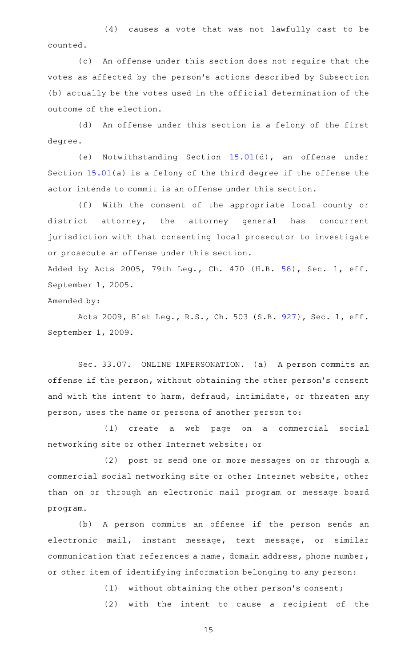$(4)$  causes a vote that was not lawfully cast to be counted.

(c) An offense under this section does not require that the votes as affected by the person 's actions described by Subsection (b) actually be the votes used in the official determination of the outcome of the election.

(d) An offense under this section is a felony of the first degree.

(e) Notwithstanding Section  $15.01(d)$  $15.01(d)$ , an offense under Section [15.01](http://www.statutes.legis.state.tx.us/GetStatute.aspx?Code=PE&Value=15.01)(a) is a felony of the third degree if the offense the actor intends to commit is an offense under this section.

(f) With the consent of the appropriate local county or district attorney, the attorney general has concurrent jurisdiction with that consenting local prosecutor to investigate or prosecute an offense under this section.

Added by Acts 2005, 79th Leg., Ch. 470 (H.B. [56](http://www.legis.state.tx.us/tlodocs/79R/billtext/html/HB00056F.HTM)), Sec. 1, eff. September 1, 2005.

## Amended by:

Acts 2009, 81st Leg., R.S., Ch. 503 (S.B. [927](http://www.legis.state.tx.us/tlodocs/81R/billtext/html/SB00927F.HTM)), Sec. 1, eff. September 1, 2009.

Sec. 33.07. ONLINE IMPERSONATION. (a) A person commits an offense if the person, without obtaining the other person 's consent and with the intent to harm, defraud, intimidate, or threaten any person, uses the name or persona of another person to:

(1) create a web page on a commercial social networking site or other Internet website; or

(2) post or send one or more messages on or through a commercial social networking site or other Internet website, other than on or through an electronic mail program or message board program.

(b) A person commits an offense if the person sends an electronic mail, instant message, text message, or similar communication that references a name, domain address, phone number, or other item of identifying information belonging to any person:

 $(1)$  without obtaining the other person's consent;

(2) with the intent to cause a recipient of the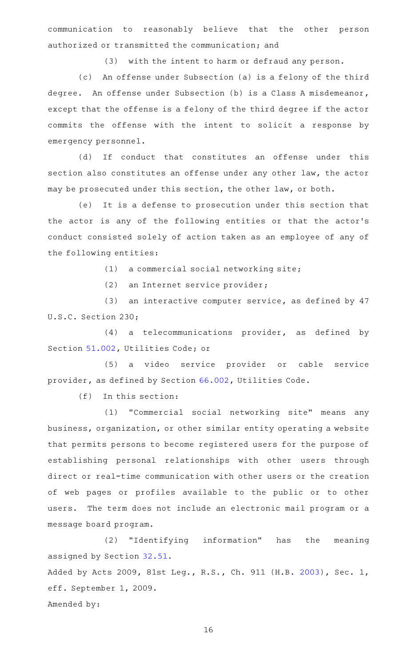communication to reasonably believe that the other person authorized or transmitted the communication; and

(3) with the intent to harm or defraud any person.

(c) An offense under Subsection (a) is a felony of the third degree. An offense under Subsection (b) is a Class A misdemeanor, except that the offense is a felony of the third degree if the actor commits the offense with the intent to solicit a response by emergency personnel.

(d) If conduct that constitutes an offense under this section also constitutes an offense under any other law, the actor may be prosecuted under this section, the other law, or both.

(e) It is a defense to prosecution under this section that the actor is any of the following entities or that the actor 's conduct consisted solely of action taken as an employee of any of the following entities:

 $(1)$  a commercial social networking site;

(2) an Internet service provider;

(3) an interactive computer service, as defined by  $47$ U.S.C. Section 230;

 $(4)$  a telecommunications provider, as defined by Section [51.002](http://www.statutes.legis.state.tx.us/GetStatute.aspx?Code=UT&Value=51.002), Utilities Code; or

(5) a video service provider or cable service provider, as defined by Section [66.002](http://www.statutes.legis.state.tx.us/GetStatute.aspx?Code=UT&Value=66.002), Utilities Code.

 $(f)$  In this section:

(1) "Commercial social networking site" means any business, organization, or other similar entity operating a website that permits persons to become registered users for the purpose of establishing personal relationships with other users through direct or real-time communication with other users or the creation of web pages or profiles available to the public or to other users. The term does not include an electronic mail program or a message board program.

(2) "Identifying information" has the meaning assigned by Section [32.51](http://www.statutes.legis.state.tx.us/GetStatute.aspx?Code=PE&Value=32.51). Added by Acts 2009, 81st Leg., R.S., Ch. 911 (H.B. [2003](http://www.legis.state.tx.us/tlodocs/81R/billtext/html/HB02003F.HTM)), Sec. 1, eff. September 1, 2009. Amended by: